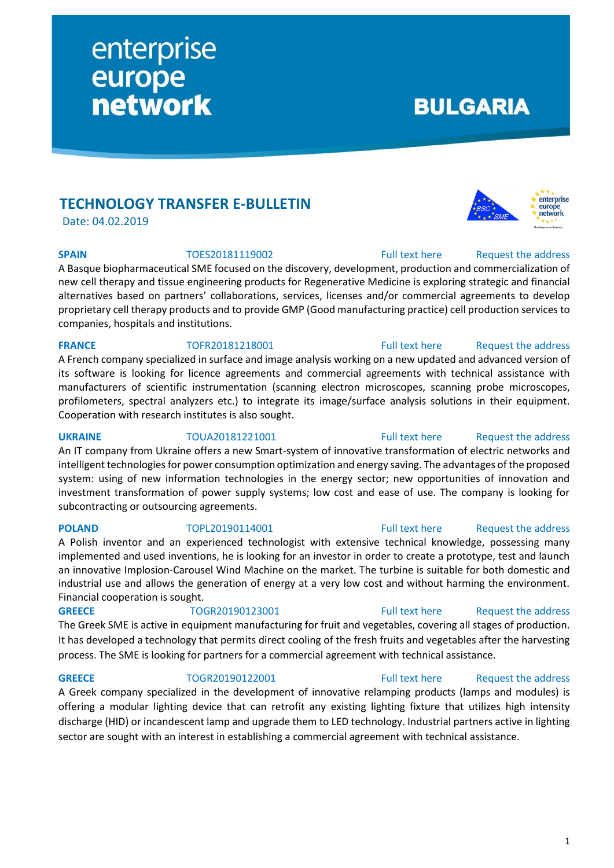# **TECHNOLOGY TRANSFER E-BULLETIN**

enterprise

**network** 

europe

Date: 04.02.2019

**SPAIN** TOES20181119002 [Full text here](https://een.ec.europa.eu/tools/services/PRO/Profile/Detail/8e068367-4f71-4c7d-822e-2396c7bb14b3) Request the address

A Basque biopharmaceutical SME focused on the discovery, development, production and commercialization of new cell therapy and tissue engineering products for Regenerative Medicine is exploring strategic and financial alternatives based on partners' collaborations, services, licenses and/or commercial agreements to develop proprietary cell therapy products and to provide GMP (Good manufacturing practice) cell production services to companies, hospitals and institutions.

## **FRANCE** TOFR20181218001 [Full text here](https://een.ec.europa.eu/tools/services/PRO/Profile/Detail/67223098-010a-40ed-bd90-07ca7a56abf1) Request the address

A French company specialized in surface and image analysis working on a new updated and advanced version of its software is looking for licence agreements and commercial agreements with technical assistance with manufacturers of scientific instrumentation (scanning electron microscopes, scanning probe microscopes, profilometers, spectral analyzers etc.) to integrate its image/surface analysis solutions in their equipment. Cooperation with research institutes is also sought.

## **UKRAINE** TOUA20181221001 [Full text here](https://een.ec.europa.eu/tools/services/PRO/Profile/Detail/9b2b257f-8a8f-4c6f-8420-178162b7b664) Request the address

An IT company from Ukraine offers a new Smart-system of innovative transformation of electric networks and intelligent technologies for power consumption optimization and energy saving. The advantages of the proposed system: using of new information technologies in the energy sector; new opportunities of innovation and investment transformation of power supply systems; low cost and ease of use. The company is looking for subcontracting or outsourcing agreements.

A Polish inventor and an experienced technologist with extensive technical knowledge, possessing many implemented and used inventions, he is looking for an investor in order to create a prototype, test and launch an innovative Implosion-Carousel Wind Machine on the market. The turbine is suitable for both domestic and industrial use and allows the generation of energy at a very low cost and without harming the environment. Financial cooperation is sought.

The Greek SME is active in equipment manufacturing for fruit and vegetables, covering all stages of production. It has developed a technology that permits direct cooling of the fresh fruits and vegetables after the harvesting process. The SME is looking for partners for a commercial agreement with technical assistance.

## **GREECE** TOGR20190122001 [Full text here](https://een.ec.europa.eu/tools/services/PRO/Profile/Detail/6bae3f88-3110-440f-a0b0-8494d3e76bc7) Request the address

A Greek company specialized in the development of innovative relamping products (lamps and modules) is offering a modular lighting device that can retrofit any existing lighting fixture that utilizes high intensity discharge (HID) or incandescent lamp and upgrade them to LED technology. Industrial partners active in lighting sector are sought with an interest in establishing a commercial agreement with technical assistance.

## **POLAND** TOPL20190114001 [Full text here](https://een.ec.europa.eu/tools/services/PRO/Profile/Detail/e4a497d2-3ec8-4f15-9cea-eb5e5a3ee272) Request [the address](http://www.een.bg/index.php?option=com_rsform&formId=13)

# **GREECE** TOGR20190123001 [Full text here](https://een.ec.europa.eu/tools/services/PRO/Profile/Detail/0ffce2ec-00e4-41bc-a2fa-9dbbc9ccb185) Request [the address](http://www.een.bg/index.php?option=com_rsform&formId=13)



**BULGARIA** 

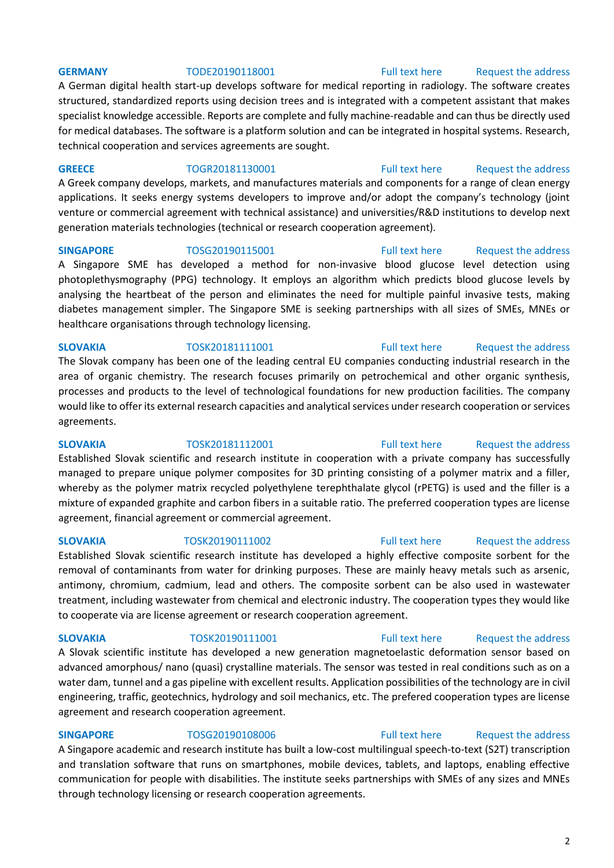## **GERMANY** TODE20190118001 [Full text here](https://een.ec.europa.eu/tools/services/PRO/Profile/Detail/8159066b-619e-4c36-a1fd-76564a10746b) Request the address

A German digital health start-up develops software for medical reporting in radiology. The software creates structured, standardized reports using decision trees and is integrated with a competent assistant that makes specialist knowledge accessible. Reports are complete and fully machine-readable and can thus be directly used for medical databases. The software is a platform solution and can be integrated in hospital systems. Research, technical cooperation and services agreements are sought.

**GREECE** TOGR20181130001 [Full text here](https://een.ec.europa.eu/tools/services/PRO/Profile/Detail/a23e8474-4815-4625-8406-ef4176a893e3) Request [the address](http://www.een.bg/index.php?option=com_rsform&formId=13)

A Greek company develops, markets, and manufactures materials and components for a range of clean energy applications. It seeks energy systems developers to improve and/or adopt the company's technology (joint venture or commercial agreement with technical assistance) and universities/R&D institutions to develop next generation materials technologies (technical or research cooperation agreement).

**SINGAPORE** TOSG20190115001 [Full text here](https://een.ec.europa.eu/tools/services/PRO/Profile/Detail/81a17206-938b-4ea6-90c0-7228d9ed87e9) Request [the address](http://www.een.bg/index.php?option=com_rsform&formId=13)

A Singapore SME has developed a method for non-invasive blood glucose level detection using photoplethysmography (PPG) technology. It employs an algorithm which predicts blood glucose levels by analysing the heartbeat of the person and eliminates the need for multiple painful invasive tests, making diabetes management simpler. The Singapore SME is seeking partnerships with all sizes of SMEs, MNEs or healthcare organisations through technology licensing.

## **SLOVAKIA** TOSK20181111001 [Full text here](https://een.ec.europa.eu/tools/services/PRO/Profile/Detail/7c525a6e-cb43-48f5-9d95-267e1998a49a) Request [the address](http://www.een.bg/index.php?option=com_rsform&formId=13)

The Slovak company has been one of the leading central EU companies conducting industrial research in the area of organic chemistry. The research focuses primarily on petrochemical and other organic synthesis, processes and products to the level of technological foundations for new production facilities. The company would like to offer its external research capacities and analytical services under research cooperation or services agreements.

**SLOVAKIA** TOSK20181112001 [Full text here](https://een.ec.europa.eu/tools/services/PRO/Profile/Detail/bc383f0e-151e-4c93-b605-87a35a6fa394) Request the address Established Slovak scientific and research institute in cooperation with a private company has successfully managed to prepare unique polymer composites for 3D printing consisting of a polymer matrix and a filler, whereby as the polymer matrix recycled polyethylene terephthalate glycol (rPETG) is used and the filler is a mixture of expanded graphite and carbon fibers in a suitable ratio. The preferred cooperation types are license agreement, financial agreement or commercial agreement.

**SLOVAKIA** TOSK20190111002 [Full text here](https://een.ec.europa.eu/tools/services/PRO/Profile/Detail/bd3be0f6-f0a1-4a70-bdef-0c17b7832d46) [Request the address](http://www.een.bg/index.php?option=com_rsform&formId=13) 

Established Slovak scientific research institute has developed a highly effective composite sorbent for the removal of contaminants from water for drinking purposes. These are mainly heavy metals such as arsenic, antimony, chromium, cadmium, lead and others. The composite sorbent can be also used in wastewater treatment, including wastewater from chemical and electronic industry. The cooperation types they would like to cooperate via are license agreement or research cooperation agreement.

## **SLOVAKIA** TOSK20190111001 [Full text here](https://een.ec.europa.eu/tools/services/PRO/Profile/Detail/34dafd73-558f-409d-a3c2-1b95f93a41e3) Request [the address](http://www.een.bg/index.php?option=com_rsform&formId=13)

A Slovak scientific institute has developed a new generation magnetoelastic deformation sensor based on advanced amorphous/ nano (quasi) crystalline materials. The sensor was tested in real conditions such as on a water dam, tunnel and a gas pipeline with excellent results. Application possibilities of the technology are in civil engineering, traffic, geotechnics, hydrology and soil mechanics, etc. The prefered cooperation types are license agreement and research cooperation agreement.

**SINGAPORE** TOSG20190108006 [Full text here](https://een.ec.europa.eu/tools/services/PRO/Profile/Detail/ee38daa4-da39-4df4-953e-87f9e7571bb6) Request the address A Singapore academic and research institute has built a low-cost multilingual speech-to-text (S2T) transcription and translation software that runs on smartphones, mobile devices, tablets, and laptops, enabling effective communication for people with disabilities. The institute seeks partnerships with SMEs of any sizes and MNEs through technology licensing or research cooperation agreements.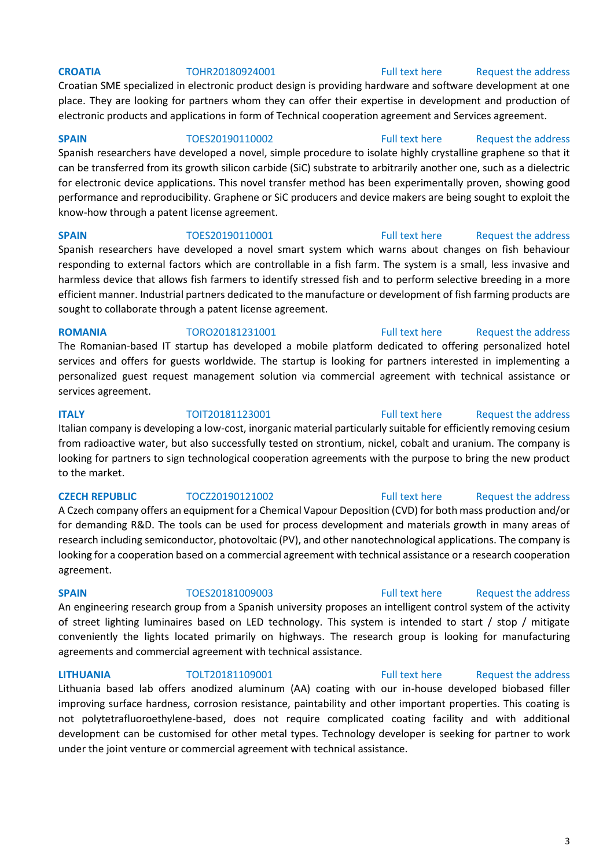## **CROATIA** TOHR20180924001 [Full text here](https://een.ec.europa.eu/tools/services/PRO/Profile/Detail/dbe7c069-f0da-4e6c-af34-0841b8108990) Request the address

Croatian SME specialized in electronic product design is providing hardware and software development at one place. They are looking for partners whom they can offer their expertise in development and production of electronic products and applications in form of Technical cooperation agreement and Services agreement.

Spanish researchers have developed a novel, simple procedure to isolate highly crystalline graphene so that it can be transferred from its growth silicon carbide (SiC) substrate to arbitrarily another one, such as a dielectric for electronic device applications. This novel transfer method has been experimentally proven, showing good performance and reproducibility. Graphene or SiC producers and device makers are being sought to exploit the know-how through a patent license agreement.

**SPAIN** TOES20190110001 [Full text here](https://een.ec.europa.eu/tools/services/PRO/Profile/Detail/65196942-10ff-4777-8f5d-71ec86593e9e) Request the address

Spanish researchers have developed a novel smart system which warns about changes on fish behaviour responding to external factors which are controllable in a fish farm. The system is a small, less invasive and harmless device that allows fish farmers to identify stressed fish and to perform selective breeding in a more efficient manner. Industrial partners dedicated to the manufacture or development of fish farming products are sought to collaborate through a patent license agreement.

## **ROMANIA** TORO20181231001 [Full text here](https://een.ec.europa.eu/tools/services/PRO/Profile/Detail/034e8447-de41-4156-988f-dee453b02911) Request the address

The Romanian-based IT startup has developed a mobile platform dedicated to offering personalized hotel services and offers for guests worldwide. The startup is looking for partners interested in implementing a personalized guest request management solution via commercial agreement with technical assistance or services agreement.

## **ITALY TOIT20181123001** [Full text here](https://een.ec.europa.eu/tools/services/PRO/Profile/Detail/61110352-f510-4d46-aada-bd84cf3ef229) Request the address

Italian company is developing a low-cost, inorganic material particularly suitable for efficiently removing cesium from radioactive water, but also successfully tested on strontium, nickel, cobalt and uranium. The company is looking for partners to sign technological cooperation agreements with the purpose to bring the new product to the market.

A Czech company offers an equipment for a Chemical Vapour Deposition (CVD) for both mass production and/or for demanding R&D. The tools can be used for process development and materials growth in many areas of research including semiconductor, photovoltaic (PV), and other nanotechnological applications. The company is looking for a cooperation based on a commercial agreement with technical assistance or a research cooperation agreement.

**SPAIN** TOES20181009003 [Full text here](https://een.ec.europa.eu/tools/services/PRO/Profile/Detail/1578c122-83ce-49bf-9da0-5c23fbb47339) Request the address

An engineering research group from a Spanish university proposes an intelligent control system of the activity of street lighting luminaires based on LED technology. This system is intended to start / stop / mitigate conveniently the lights located primarily on highways. The research group is looking for manufacturing agreements and commercial agreement with technical assistance.

Lithuania based lab offers anodized aluminum (AA) coating with our in-house developed biobased filler improving surface hardness, corrosion resistance, paintability and other important properties. This coating is not polytetrafluoroethylene-based, does not require complicated coating facility and with additional development can be customised for other metal types. Technology developer is seeking for partner to work under the joint venture or commercial agreement with technical assistance.

# **SPAIN** TOES20190110002 [Full text here](https://een.ec.europa.eu/tools/services/PRO/Profile/Detail/4af43e14-7dc1-4f56-bdd8-b3a116201f81) Request the address

## **CZECH REPUBLIC** TOCZ20190121002 [Full text here](https://een.ec.europa.eu/tools/services/PRO/Profile/Detail/a6b9b25a-6ea2-4570-95d0-dd91305276e7) Request [the address](http://www.een.bg/index.php?option=com_rsform&formId=13)

# **LITHUANIA** TOLT20181109001 [Full text here](https://een.ec.europa.eu/tools/services/PRO/Profile/Detail/a76a3d5f-efb1-4c6a-bc9c-a0c1d6e15743) [Request the address](http://www.een.bg/index.php?option=com_rsform&formId=13)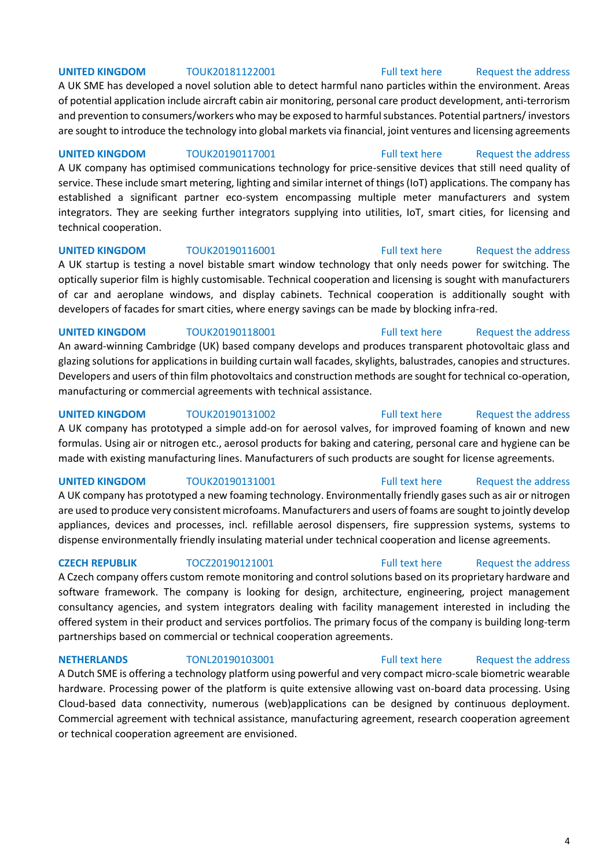### **UNITED KINGDOM** TOUK20181122001 [Full text here](https://een.ec.europa.eu/tools/services/PRO/Profile/Detail/cc2c6611-c52e-44ef-8dec-933716c7daab) Request the address

A UK SME has developed a novel solution able to detect harmful nano particles within the environment. Areas of potential application include aircraft cabin air monitoring, personal care product development, anti-terrorism and prevention to consumers/workers who may be exposed to harmful substances. Potential partners/ investors are sought to introduce the technology into global markets via financial, joint ventures and licensing agreements

**UNITED KINGDOM** TOUK20190117001 [Full text here](https://een.ec.europa.eu/tools/services/PRO/Profile/Detail/04ea11e6-9634-49ab-8c12-5dc5ad96cdd5) Request the address A UK company has optimised communications technology for price-sensitive devices that still need quality of service. These include smart metering, lighting and similar internet of things (IoT) applications. The company has established a significant partner eco-system encompassing multiple meter manufacturers and system integrators. They are seeking further integrators supplying into utilities, IoT, smart cities, for licensing and technical cooperation.

## **UNITED KINGDOM** TOUK20190116001 [Full text here](https://een.ec.europa.eu/tools/services/PRO/Profile/Detail/eb401b8a-1197-4c8d-9393-8319e81497f7) Request the address

A UK startup is testing a novel bistable smart window technology that only needs power for switching. The optically superior film is highly customisable. Technical cooperation and licensing is sought with manufacturers of car and aeroplane windows, and display cabinets. Technical cooperation is additionally sought with developers of facades for smart cities, where energy savings can be made by blocking infra-red.

**UNITED KINGDOM** TOUK20190118001 [Full text here](https://een.ec.europa.eu/tools/services/PRO/Profile/Detail/f5d9cb0b-aaf9-4b83-bf1a-6a5dc35dcbb0) Request the address An award-winning Cambridge (UK) based company develops and produces transparent photovoltaic glass and glazing solutions for applications in building curtain wall facades, skylights, balustrades, canopies and structures. Developers and users of thin film photovoltaics and construction methods are sought for technical co-operation, manufacturing or commercial agreements with technical assistance.

## **UNITED KINGDOM** TOUK20190131002 **Full text here** Request the address

A UK company has prototyped a simple add-on for aerosol valves, for improved foaming of known and new formulas. Using air or nitrogen etc., aerosol products for baking and catering, personal care and hygiene can be made with existing manufacturing lines. Manufacturers of such products are sought for license agreements.

## **UNITED KINGDOM** TOUK20190131001 [Full text here](https://een.ec.europa.eu/tools/services/PRO/Profile/Detail/6215ca21-b2ef-4131-800b-ea79759075eb) Request the address

A UK company has prototyped a new foaming technology. Environmentally friendly gases such as air or nitrogen are used to produce very consistent microfoams. Manufacturers and users of foams are sought to jointly develop appliances, devices and processes, incl. refillable aerosol dispensers, fire suppression systems, systems to dispense environmentally friendly insulating material under technical cooperation and license agreements.

## **CZECH REPUBLIK** TOCZ20190121001 [Full text here](https://een.ec.europa.eu/tools/services/PRO/Profile/Detail/2a84e5fe-32cc-4804-81aa-afe9e5e99c98) Request the address

A Czech company offers custom remote monitoring and control solutions based on its proprietary hardware and software framework. The company is looking for design, architecture, engineering, project management consultancy agencies, and system integrators dealing with facility management interested in including the offered system in their product and services portfolios. The primary focus of the company is building long-term partnerships based on commercial or technical cooperation agreements.

**NETHERLANDS** TONL20190103001 [Full text here](https://een.ec.europa.eu/tools/services/PRO/Profile/Detail/880a0801-816d-4e48-b7c1-0123fdee52a4) Request the address

A Dutch SME is offering a technology platform using powerful and very compact micro-scale biometric wearable hardware. Processing power of the platform is quite extensive allowing vast on-board data processing. Using Cloud-based data connectivity, numerous (web)applications can be designed by continuous deployment. Commercial agreement with technical assistance, manufacturing agreement, research cooperation agreement or technical cooperation agreement are envisioned.

### 4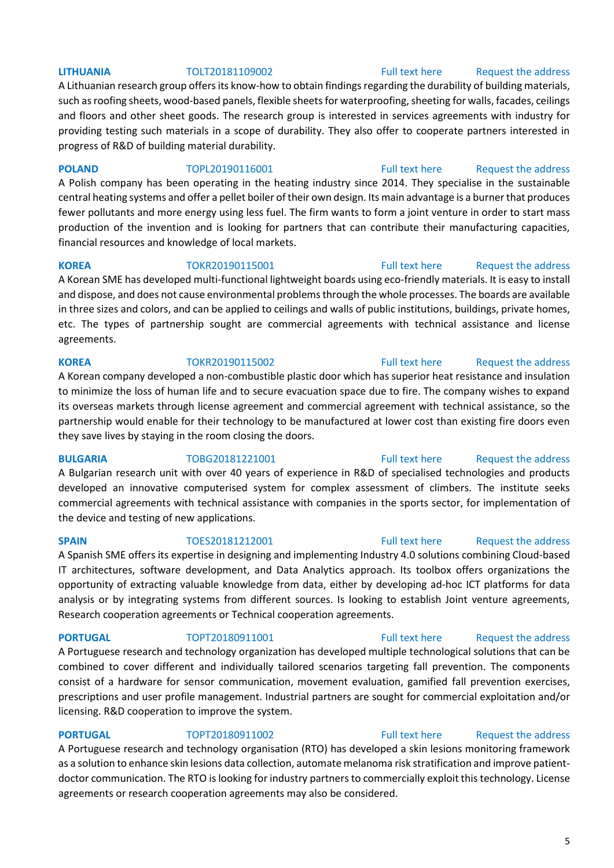A Lithuanian research group offers its know-how to obtain findings regarding the durability of building materials, such as roofing sheets, wood-based panels, flexible sheets for waterproofing, sheeting for walls, facades, ceilings and floors and other sheet goods. The research group is interested in services agreements with industry for providing testing such materials in a scope of durability. They also offer to cooperate partners interested in progress of R&D of building material durability.

**POLAND** TOPL20190116001 [Full text here](https://een.ec.europa.eu/tools/services/PRO/Profile/Detail/c457bcba-203d-49f8-9beb-f37e6ba58775) Request the address A Polish company has been operating in the heating industry since 2014. They specialise in the sustainable central heating systems and offer a pellet boiler of their own design. Its main advantage is a burner that produces fewer pollutants and more energy using less fuel. The firm wants to form a joint venture in order to start mass production of the invention and is looking for partners that can contribute their manufacturing capacities, financial resources and knowledge of local markets.

**KOREA** TOKR20190115001 [Full text here](https://een.ec.europa.eu/tools/services/PRO/Profile/Detail/15a7f4ad-6d4d-47ba-bc2c-aa52072dcb0e) Request the address A Korean SME has developed multi-functional lightweight boards using eco-friendly materials. It is easy to install and dispose, and does not cause environmental problems through the whole processes. The boards are available in three sizes and colors, and can be applied to ceilings and walls of public institutions, buildings, private homes, etc. The types of partnership sought are commercial agreements with technical assistance and license agreements.

A Korean company developed a non-combustible plastic door which has superior heat resistance and insulation to minimize the loss of human life and to secure evacuation space due to fire. The company wishes to expand its overseas markets through license agreement and commercial agreement with technical assistance, so the partnership would enable for their technology to be manufactured at lower cost than existing fire doors even they save lives by staying in the room closing the doors.

## **BULGARIA** TOBG20181221001 [Full text here](https://een.ec.europa.eu/tools/services/PRO/Profile/Detail/41426bd7-1273-4cdb-9849-d78137cb3719) Request the address

A Bulgarian research unit with over 40 years of experience in R&D of specialised technologies and products developed an innovative computerised system for complex assessment of climbers. The institute seeks commercial agreements with technical assistance with companies in the sports sector, for implementation of the device and testing of new applications.

## A Spanish SME offers its expertise in designing and implementing Industry 4.0 solutions combining Cloud-based IT architectures, software development, and Data Analytics approach. Its toolbox offers organizations the opportunity of extracting valuable knowledge from data, either by developing ad-hoc ICT platforms for data analysis or by integrating systems from different sources. Is looking to establish Joint venture agreements, Research cooperation agreements or Technical cooperation agreements.

A Portuguese research and technology organization has developed multiple technological solutions that can be combined to cover different and individually tailored scenarios targeting fall prevention. The components consist of a hardware for sensor communication, movement evaluation, gamified fall prevention exercises, prescriptions and user profile management. Industrial partners are sought for commercial exploitation and/or licensing. R&D cooperation to improve the system.

**PORTUGAL** TOPT20180911002 [Full text here](https://een.ec.europa.eu/tools/services/PRO/Profile/Detail/f00d9cb1-3f66-4ee3-bd60-7f9b2a5c28e9) Request the address A Portuguese research and technology organisation (RTO) has developed a skin lesions monitoring framework as a solution to enhance skin lesions data collection, automate melanoma risk stratification and improve patientdoctor communication. The RTO is looking for industry partners to commercially exploit this technology. License agreements or research cooperation agreements may also be considered.

## 5

# **LITHUANIA** TOLT20181109002 [Full text here](https://een.ec.europa.eu/tools/services/PRO/Profile/Detail/99eee9ad-5f1c-4c42-ab45-e441012be877) [Request the address](http://www.een.bg/index.php?option=com_rsform&formId=13)

## **KOREA** TOKR20190115002 [Full text here](https://een.ec.europa.eu/tools/services/PRO/Profile/Detail/e3bd4c4c-390f-4131-85b6-0ac41bdb32f8) Request the address

## **SPAIN** TOES20181212001 [Full text here](https://een.ec.europa.eu/tools/services/PRO/Profile/Detail/07e74313-7606-4d0a-a038-756d74064894) Request the address

# **PORTUGAL** TOPT20180911001 [Full text here](https://een.ec.europa.eu/tools/services/PRO/Profile/Detail/4025b5f6-e16d-4092-9f8b-1777f41671d1) Request the address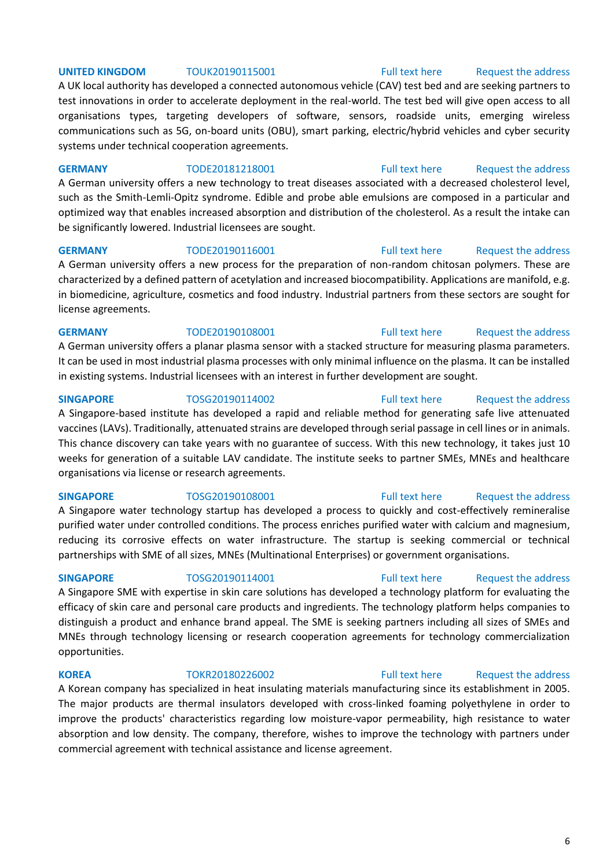## 6

## **UNITED KINGDOM** TOUK20190115001 [Full text here](https://een.ec.europa.eu/tools/services/PRO/Profile/Detail/e0617a4f-ac20-4619-849b-708695d1e7cc) Request the address

A UK local authority has developed a connected autonomous vehicle (CAV) test bed and are seeking partners to test innovations in order to accelerate deployment in the real-world. The test bed will give open access to all organisations types, targeting developers of software, sensors, roadside units, emerging wireless communications such as 5G, on-board units (OBU), smart parking, electric/hybrid vehicles and cyber security systems under technical cooperation agreements.

### **GERMANY** TODE20181218001 [Full text here](https://een.ec.europa.eu/tools/services/PRO/Profile/Detail/f9ab72ed-2f42-4d49-bf83-9c75b94165b9) Request the address

A German university offers a new technology to treat diseases associated with a decreased cholesterol level, such as the Smith-Lemli-Opitz syndrome. Edible and probe able emulsions are composed in a particular and optimized way that enables increased absorption and distribution of the cholesterol. As a result the intake can be significantly lowered. Industrial licensees are sought.

### **GERMANY** TODE20190116001 [Full text here](https://een.ec.europa.eu/tools/services/PRO/Profile/Detail/3f17fb8f-49d8-4b78-8876-3813e97883a5) Request the address

A German university offers a new process for the preparation of non-random chitosan polymers. These are characterized by a defined pattern of acetylation and increased biocompatibility. Applications are manifold, e.g. in biomedicine, agriculture, cosmetics and food industry. Industrial partners from these sectors are sought for license agreements.

A German university offers a planar plasma sensor with a stacked structure for measuring plasma parameters. It can be used in most industrial plasma processes with only minimal influence on the plasma. It can be installed in existing systems. Industrial licensees with an interest in further development are sought.

**SINGAPORE** TOSG20190114002 [Full text here](https://een.ec.europa.eu/tools/services/PRO/Profile/Detail/dfbc8eef-c743-407d-81a7-793fdcd56ac0) Request the address A Singapore-based institute has developed a rapid and reliable method for generating safe live attenuated vaccines (LAVs). Traditionally, attenuated strains are developed through serial passage in cell lines or in animals. This chance discovery can take years with no guarantee of success. With this new technology, it takes just 10 weeks for generation of a suitable LAV candidate. The institute seeks to partner SMEs, MNEs and healthcare organisations via license or research agreements.

A Singapore water technology startup has developed a process to quickly and cost-effectively remineralise purified water under controlled conditions. The process enriches purified water with calcium and magnesium, reducing its corrosive effects on water infrastructure. The startup is seeking commercial or technical partnerships with SME of all sizes, MNEs (Multinational Enterprises) or government organisations.

**SINGAPORE** TOSG20190114001 [Full text here](https://een.ec.europa.eu/tools/services/PRO/Profile/Detail/6a4bfc75-114b-45fa-b410-277d7f44a94f) Request the address A Singapore SME with expertise in skin care solutions has developed a technology platform for evaluating the efficacy of skin care and personal care products and ingredients. The technology platform helps companies to distinguish a product and enhance brand appeal. The SME is seeking partners including all sizes of SMEs and MNEs through technology licensing or research cooperation agreements for technology commercialization opportunities.

A Korean company has specialized in heat insulating materials manufacturing since its establishment in 2005. The major products are thermal insulators developed with cross-linked foaming polyethylene in order to improve the products' characteristics regarding low moisture-vapor permeability, high resistance to water absorption and low density. The company, therefore, wishes to improve the technology with partners under commercial agreement with technical assistance and license agreement.

## **KOREA** TOKR20180226002 [Full text here](https://een.ec.europa.eu/tools/services/PRO/Profile/Detail/6601c38c-4ed6-4cfe-adbd-4e46fe169e70) [Request the address](http://www.een.bg/index.php?option=com_rsform&formId=13)

# **SINGAPORE** TOSG20190108001 [Full text here](https://een.ec.europa.eu/tools/services/PRO/Profile/Detail/225d8334-21dc-4247-a8a3-fc870ad106ca) Request the address

# **GERMANY** TODE20190108001 [Full text here](https://een.ec.europa.eu/tools/services/PRO/Profile/Detail/cfb2ef6a-8b78-4b57-8796-b6cb2d565374) Request the address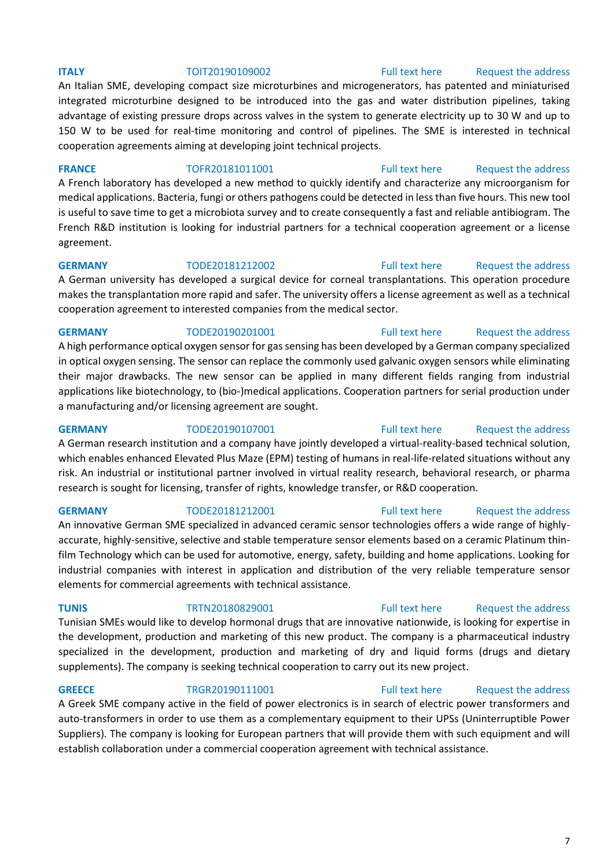## **ITALY TOIT20190109002** [Full text here](https://een.ec.europa.eu/tools/services/PRO/Profile/Detail/8be26837-43a8-4506-b32d-3d950cfde747) Request the address

An Italian SME, developing compact size microturbines and microgenerators, has patented and miniaturised integrated microturbine designed to be introduced into the gas and water distribution pipelines, taking advantage of existing pressure drops across valves in the system to generate electricity up to 30 W and up to 150 W to be used for real-time monitoring and control of pipelines. The SME is interested in technical cooperation agreements aiming at developing joint technical projects.

**FRANCE** TOFR20181011001 [Full text here](https://een.ec.europa.eu/tools/services/PRO/Profile/Detail/fab83413-4aab-4a52-b23d-434e217a0fb2) Request the address

A French laboratory has developed a new method to quickly identify and characterize any microorganism for medical applications. Bacteria, fungi or others pathogens could be detected in less than five hours. This new tool is useful to save time to get a microbiota survey and to create consequently a fast and reliable antibiogram. The French R&D institution is looking for industrial partners for a technical cooperation agreement or a license agreement.

**GERMANY** TODE20181212002 [Full text here](https://een.ec.europa.eu/tools/services/PRO/Profile/Detail/8fa57735-32d6-4c49-af52-2ada098aa65d) Request the address A German university has developed a surgical device for corneal transplantations. This operation procedure makes the transplantation more rapid and safer. The university offers a license agreement as well as a technical cooperation agreement to interested companies from the medical sector.

## **GERMANY** TODE20190201001 [Full text here](https://een.ec.europa.eu/tools/services/PRO/Profile/Detail/ffd906d9-8dab-475a-820c-6956a1c921c5) Request the address

A high performance optical oxygen sensor for gas sensing has been developed by a German company specialized in optical oxygen sensing. The sensor can replace the commonly used galvanic oxygen sensors while eliminating their major drawbacks. The new sensor can be applied in many different fields ranging from industrial applications like biotechnology, to (bio-)medical applications. Cooperation partners for serial production under a manufacturing and/or licensing agreement are sought.

**GERMANY** TODE20190107001 [Full text here](https://een.ec.europa.eu/tools/services/PRO/Profile/Detail/c6541498-09bb-4641-acbb-08d847b8b661) Request the address A German research institution and a company have jointly developed a virtual-reality-based technical solution,

# which enables enhanced Elevated Plus Maze (EPM) testing of humans in real-life-related situations without any risk. An industrial or institutional partner involved in virtual reality research, behavioral research, or pharma research is sought for licensing, transfer of rights, knowledge transfer, or R&D cooperation.

**GERMANY** TODE20181212001 [Full text here](https://een.ec.europa.eu/tools/services/PRO/Profile/Detail/de2de03d-d526-4899-a5b8-b19164624f25) Request the address An innovative German SME specialized in advanced ceramic sensor technologies offers a wide range of highlyaccurate, highly-sensitive, selective and stable temperature sensor elements based on a ceramic Platinum thinfilm Technology which can be used for automotive, energy, safety, building and home applications. Looking for industrial companies with interest in application and distribution of the very reliable temperature sensor elements for commercial agreements with technical assistance.

## **TUNIS** TRTN20180829001 [Full text here](https://een.ec.europa.eu/tools/services/PRO/Profile/Detail/57b1bd47-e44d-4c98-b28a-f70a9b413d33) Request the address

Tunisian SMEs would like to develop hormonal drugs that are innovative nationwide, is looking for expertise in the development, production and marketing of this new product. The company is a pharmaceutical industry specialized in the development, production and marketing of dry and liquid forms (drugs and dietary supplements). The company is seeking technical cooperation to carry out its new project.

## **GREECE** TRGR20190111001 [Full text here](https://een.ec.europa.eu/tools/services/PRO/Profile/Detail/fe344b92-ba99-4c03-8ffc-76e3e9b76b6e) Request the address

A Greek SME company active in the field of power electronics is in search of electric power transformers and auto-transformers in order to use them as a complementary equipment to their UPSs (Uninterruptible Power Suppliers). The company is looking for European partners that will provide them with such equipment and will establish collaboration under a commercial cooperation agreement with technical assistance.

## 7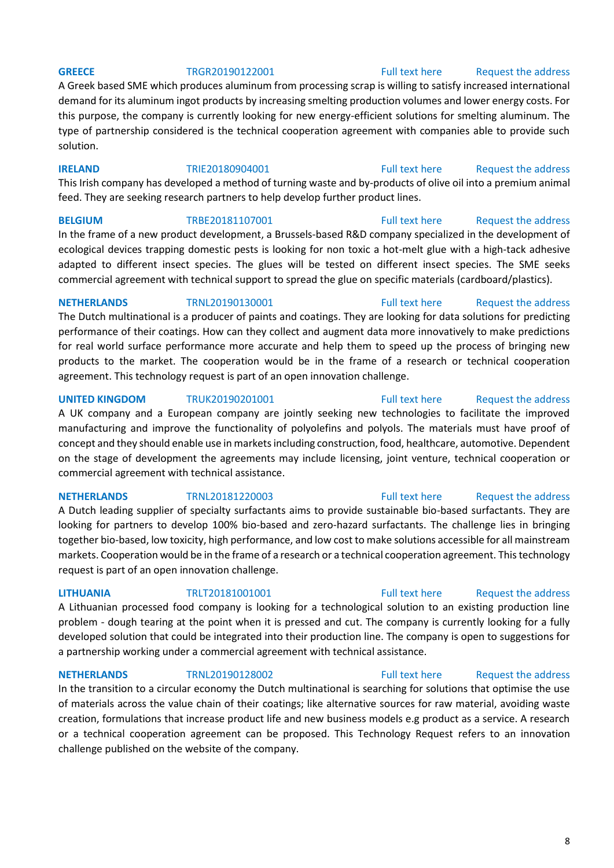### **GREECE** TRGR20190122001 [Full text here](https://een.ec.europa.eu/tools/services/PRO/Profile/Detail/61efaa4c-43ae-4c43-8597-5ec29646b956) Request the address

A Greek based SME which produces aluminum from processing scrap is willing to satisfy increased international demand for its aluminum ingot products by increasing smelting production volumes and lower energy costs. For this purpose, the company is currently looking for new energy-efficient solutions for smelting aluminum. The type of partnership considered is the technical cooperation agreement with companies able to provide such solution.

**IRELAND** TRIE20180904001 [Full text here](https://een.ec.europa.eu/tools/services/PRO/Profile/Detail/4ab08863-34cb-45ea-95c3-18ff4ca8daec) Request the address

This Irish company has developed a method of turning waste and by-products of olive oil into a premium animal feed. They are seeking research partners to help develop further product lines.

In the frame of a new product development, a Brussels-based R&D company specialized in the development of ecological devices trapping domestic pests is looking for non toxic a hot-melt glue with a high-tack adhesive adapted to different insect species. The glues will be tested on different insect species. The SME seeks commercial agreement with technical support to spread the glue on specific materials (cardboard/plastics).

## **NETHERLANDS** TRNL20190130001 [Full text here](https://een.ec.europa.eu/tools/services/PRO/Profile/Detail/337f7ef5-9826-479b-a773-90b8a0024a8a) Request the address

The Dutch multinational is a producer of paints and coatings. They are looking for data solutions for predicting performance of their coatings. How can they collect and augment data more innovatively to make predictions for real world surface performance more accurate and help them to speed up the process of bringing new products to the market. The cooperation would be in the frame of a research or technical cooperation agreement. This technology request is part of an open innovation challenge.

## **UNITED KINGDOM** TRUK20190201001 [Full text here](https://een.ec.europa.eu/tools/services/PRO/Profile/Detail/3211228f-afbd-4a8f-a3d0-2626a35d93d7) Request the address A UK company and a European company are jointly seeking new technologies to facilitate the improved manufacturing and improve the functionality of polyolefins and polyols. The materials must have proof of concept and they should enable use in markets including construction, food, healthcare, automotive. Dependent on the stage of development the agreements may include licensing, joint venture, technical cooperation or commercial agreement with technical assistance.

A Dutch leading supplier of specialty surfactants aims to provide sustainable bio-based surfactants. They are looking for partners to develop 100% bio-based and zero-hazard surfactants. The challenge lies in bringing together bio-based, low toxicity, high performance, and low cost to make solutions accessible for all mainstream markets. Cooperation would be in the frame of a research or a technical cooperation agreement. This technology request is part of an open innovation challenge.

A Lithuanian processed food company is looking for a technological solution to an existing production line problem - dough tearing at the point when it is pressed and cut. The company is currently looking for a fully developed solution that could be integrated into their production line. The company is open to suggestions for a partnership working under a commercial agreement with technical assistance.

**NETHERLANDS** TRNL20190128002 [Full text here](https://een.ec.europa.eu/tools/services/PRO/Profile/Detail/12bedd79-ae6d-4c9e-9bc2-cbd13129f1e0) Request the address

In the transition to a circular economy the Dutch multinational is searching for solutions that optimise the use of materials across the value chain of their coatings; like alternative sources for raw material, avoiding waste creation, formulations that increase product life and new business models e.g product as a service. A research or a technical cooperation agreement can be proposed. This Technology Request refers to an innovation challenge published on the website of the company.

# **BELGIUM** TRBE20181107001 [Full text here](https://een.ec.europa.eu/tools/services/PRO/Profile/Detail/f384d9f2-0fd4-4b68-97d9-3291e4519aec) Request the address

# **NETHERLANDS** TRNL20181220003 [Full text here](https://een.ec.europa.eu/tools/services/PRO/Profile/Detail/85f7d3c5-03d3-48f9-adea-7d8151172b16) Request the address

# **LITHUANIA** TRLT20181001001 [Full text here](https://een.ec.europa.eu/tools/services/PRO/Profile/Detail/83b1b5e0-1838-4f10-8b2f-f103a6a7e085) [Request the address](http://www.een.bg/index.php?option=com_rsform&formId=13)

## 8